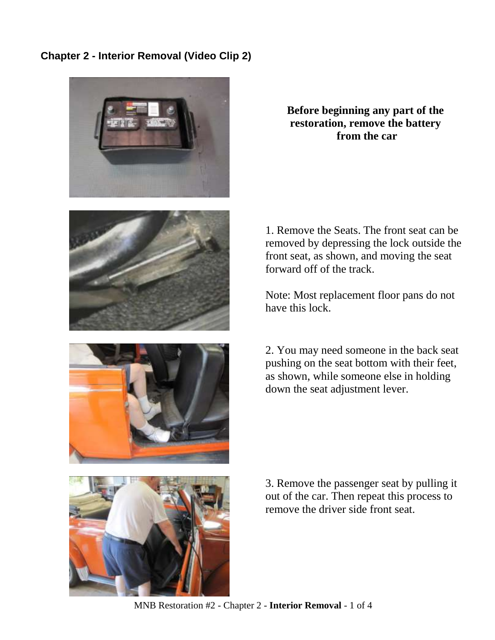## **Chapter 2 - Interior Removal (Video Clip 2)**









1. Remove the Seats. The front seat can be removed by depressing the lock outside the front seat, as shown, and moving the seat forward off of the track.

Note: Most replacement floor pans do not have this lock

2. You may need someone in the back seat pushing on the seat bottom with their feet, as shown, while someone else in holding down the seat adjustment lever.

3. Remove the passenger seat by pulling it out of the car. Then repeat this process to remove the driver side front seat.

MNB Restoration #2 - Chapter 2 - **Interior Removal** - 1 of 4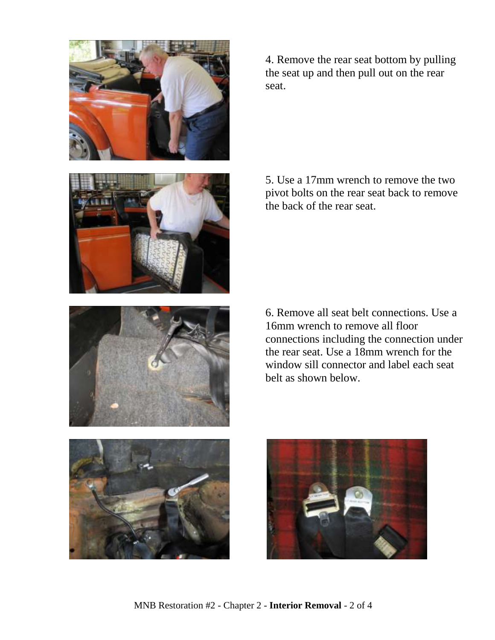

4. Remove the rear seat bottom by pulling the seat up and then pull out on the rear seat.

5. Use a 17mm wrench to remove the two pivot bolts on the rear seat back to remove the back of the rear seat.

6. Remove all seat belt connections. Use a 16mm wrench to remove all floor connections including the connection under the rear seat. Use a 18mm wrench for the window sill connector and label each seat belt as shown below.



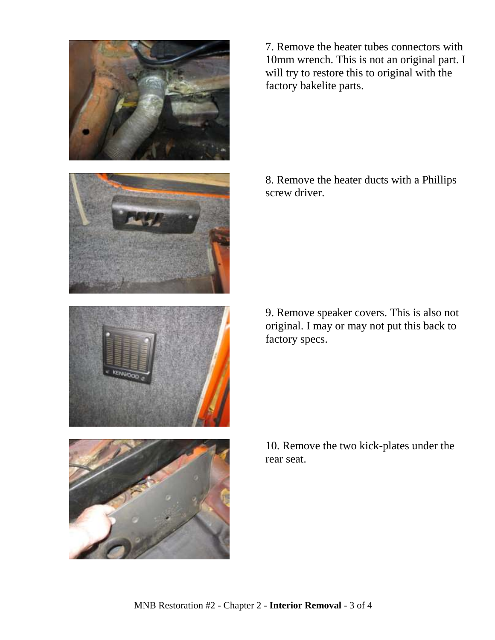

7. Remove the heater tubes connectors with 10mm wrench. This is not an original part. I will try to restore this to original with the factory bakelite parts.

8. Remove the heater ducts with a Phillips screw driver.





9. Remove speaker covers. This is also not original. I may or may not put this back to factory specs.



10. Remove the two kick-plates under the rear seat.